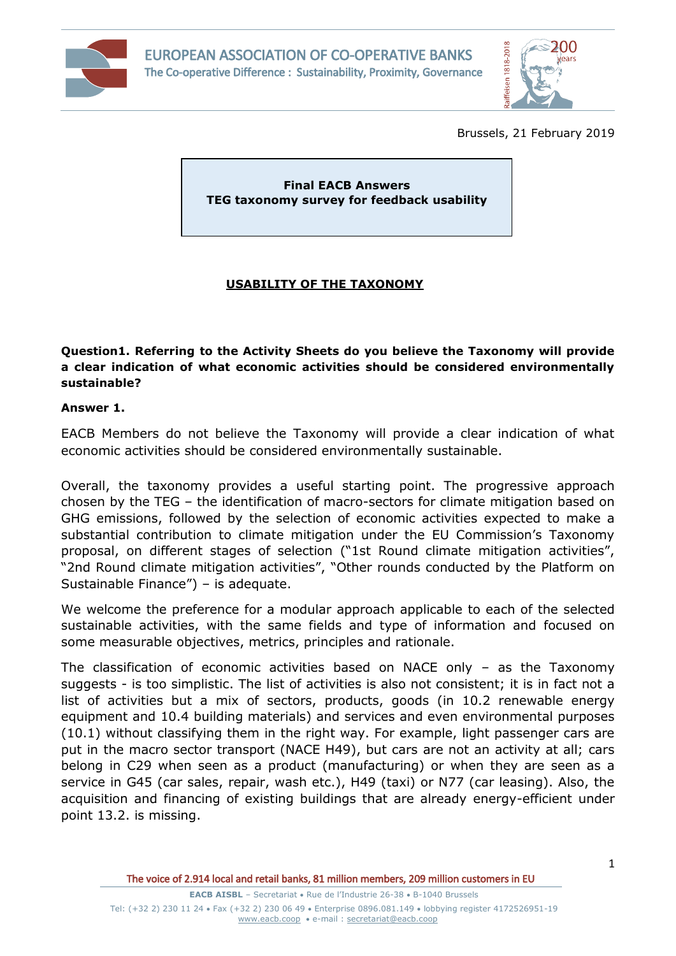



Brussels, 21 February 2019

**Final EACB Answers TEG taxonomy survey for feedback usability**

## **USABILITY OF THE TAXONOMY**

**Question1. Referring to the Activity Sheets do you believe the Taxonomy will provide a clear indication of what economic activities should be considered environmentally sustainable?**

## **Answer 1.**

EACB Members do not believe the Taxonomy will provide a clear indication of what economic activities should be considered environmentally sustainable.

Overall, the taxonomy provides a useful starting point. The progressive approach chosen by the TEG – the identification of macro-sectors for climate mitigation based on GHG emissions, followed by the selection of economic activities expected to make a substantial contribution to climate mitigation under the EU Commission's Taxonomy proposal, on different stages of selection ("1st Round climate mitigation activities", "2nd Round climate mitigation activities", "Other rounds conducted by the Platform on Sustainable Finance") – is adequate.

We welcome the preference for a modular approach applicable to each of the selected sustainable activities, with the same fields and type of information and focused on some measurable objectives, metrics, principles and rationale.

The classification of economic activities based on NACE only – as the Taxonomy suggests - is too simplistic. The list of activities is also not consistent; it is in fact not a list of activities but a mix of sectors, products, goods (in 10.2 renewable energy equipment and 10.4 building materials) and services and even environmental purposes (10.1) without classifying them in the right way. For example, light passenger cars are put in the macro sector transport (NACE H49), but cars are not an activity at all; cars belong in C29 when seen as a product (manufacturing) or when they are seen as a service in G45 (car sales, repair, wash etc.), H49 (taxi) or N77 (car leasing). Also, the acquisition and financing of existing buildings that are already energy-efficient under point 13.2. is missing.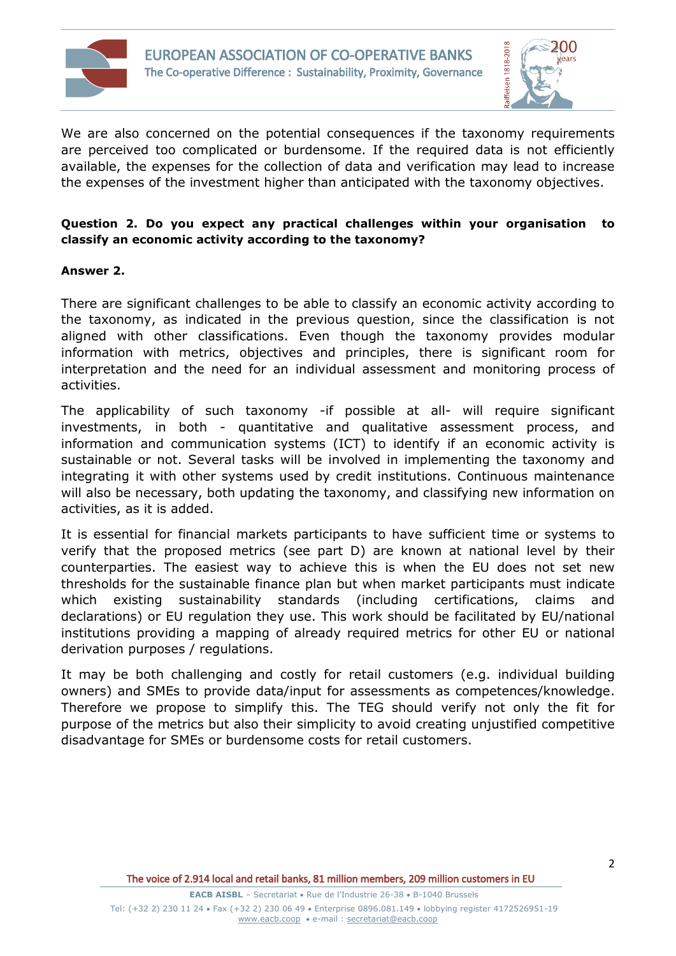



We are also concerned on the potential consequences if the taxonomy requirements are perceived too complicated or burdensome. If the required data is not efficiently available, the expenses for the collection of data and verification may lead to increase the expenses of the investment higher than anticipated with the taxonomy objectives.

## **Question 2. Do you expect any practical challenges within your organisation to classify an economic activity according to the taxonomy?**

## **Answer 2.**

There are significant challenges to be able to classify an economic activity according to the taxonomy, as indicated in the previous question, since the classification is not aligned with other classifications. Even though the taxonomy provides modular information with metrics, objectives and principles, there is significant room for interpretation and the need for an individual assessment and monitoring process of activities.

The applicability of such taxonomy -if possible at all- will require significant investments, in both - quantitative and qualitative assessment process, and information and communication systems (ICT) to identify if an economic activity is sustainable or not. Several tasks will be involved in implementing the taxonomy and integrating it with other systems used by credit institutions. Continuous maintenance will also be necessary, both updating the taxonomy, and classifying new information on activities, as it is added.

It is essential for financial markets participants to have sufficient time or systems to verify that the proposed metrics (see part D) are known at national level by their counterparties. The easiest way to achieve this is when the EU does not set new thresholds for the sustainable finance plan but when market participants must indicate which existing sustainability standards (including certifications, claims and declarations) or EU regulation they use. This work should be facilitated by EU/national institutions providing a mapping of already required metrics for other EU or national derivation purposes / regulations.

It may be both challenging and costly for retail customers (e.g. individual building owners) and SMEs to provide data/input for assessments as competences/knowledge. Therefore we propose to simplify this. The TEG should verify not only the fit for purpose of the metrics but also their simplicity to avoid creating unjustified competitive disadvantage for SMEs or burdensome costs for retail customers.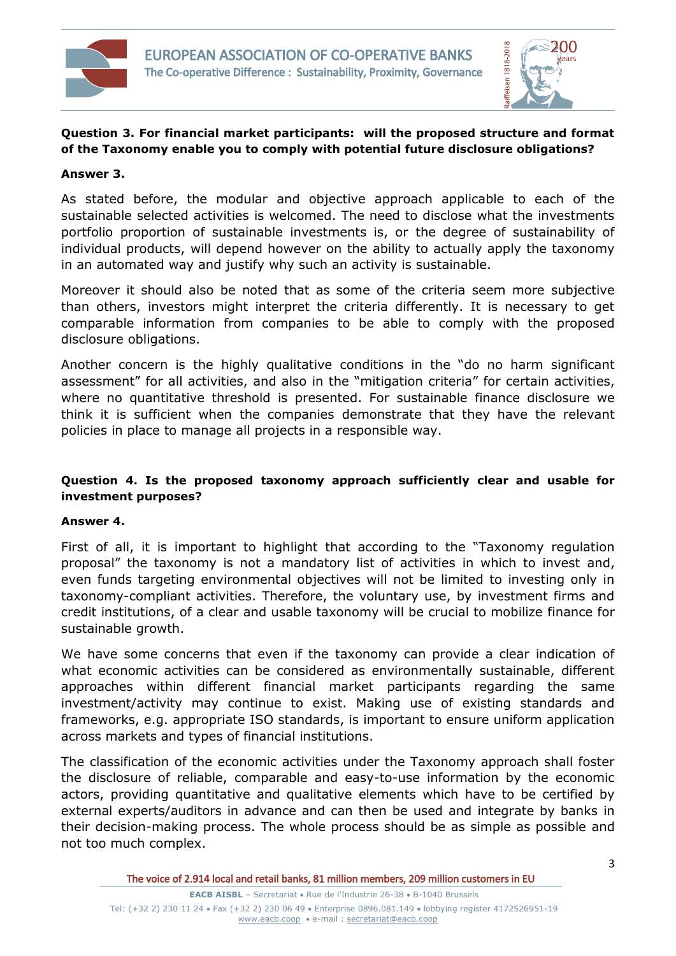



# **Question 3. For financial market participants: will the proposed structure and format of the Taxonomy enable you to comply with potential future disclosure obligations?**

#### **Answer 3.**

As stated before, the modular and objective approach applicable to each of the sustainable selected activities is welcomed. The need to disclose what the investments portfolio proportion of sustainable investments is, or the degree of sustainability of individual products, will depend however on the ability to actually apply the taxonomy in an automated way and justify why such an activity is sustainable.

Moreover it should also be noted that as some of the criteria seem more subjective than others, investors might interpret the criteria differently. It is necessary to get comparable information from companies to be able to comply with the proposed disclosure obligations.

Another concern is the highly qualitative conditions in the "do no harm significant assessment" for all activities, and also in the "mitigation criteria" for certain activities, where no quantitative threshold is presented. For sustainable finance disclosure we think it is sufficient when the companies demonstrate that they have the relevant policies in place to manage all projects in a responsible way.

## **Question 4. Is the proposed taxonomy approach sufficiently clear and usable for investment purposes?**

#### **Answer 4.**

First of all, it is important to highlight that according to the "Taxonomy regulation proposal" the taxonomy is not a mandatory list of activities in which to invest and, even funds targeting environmental objectives will not be limited to investing only in taxonomy-compliant activities. Therefore, the voluntary use, by investment firms and credit institutions, of a clear and usable taxonomy will be crucial to mobilize finance for sustainable growth.

We have some concerns that even if the taxonomy can provide a clear indication of what economic activities can be considered as environmentally sustainable, different approaches within different financial market participants regarding the same investment/activity may continue to exist. Making use of existing standards and frameworks, e.g. appropriate ISO standards, is important to ensure uniform application across markets and types of financial institutions.

The classification of the economic activities under the Taxonomy approach shall foster the disclosure of reliable, comparable and easy-to-use information by the economic actors, providing quantitative and qualitative elements which have to be certified by external experts/auditors in advance and can then be used and integrate by banks in their decision-making process. The whole process should be as simple as possible and not too much complex.